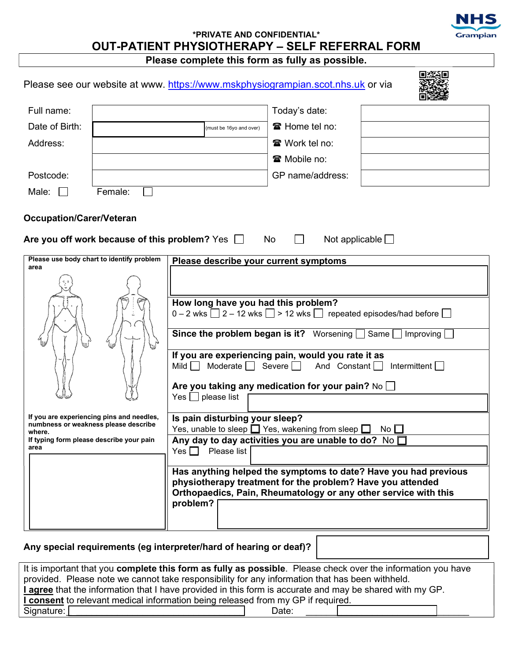# \*PRIVATE AND CONFIDENTIAL\* OUT-PATIENT PHYSIOTHERAPY – SELF REFERRAL FORM

Please complete this form as fully as possible.

Grampian

|                                 |                                                                                                                               |                                                                                                                                                                                | Please see our website at www. https://www.mskphysiogrampian.scot.nhs.uk or via                                                                                                                                                                                                                                                                                                                                                                                                                                                    |  |
|---------------------------------|-------------------------------------------------------------------------------------------------------------------------------|--------------------------------------------------------------------------------------------------------------------------------------------------------------------------------|------------------------------------------------------------------------------------------------------------------------------------------------------------------------------------------------------------------------------------------------------------------------------------------------------------------------------------------------------------------------------------------------------------------------------------------------------------------------------------------------------------------------------------|--|
| Full name:                      |                                                                                                                               |                                                                                                                                                                                | Today's date:                                                                                                                                                                                                                                                                                                                                                                                                                                                                                                                      |  |
| Date of Birth:                  |                                                                                                                               | (must be 16yo and over)                                                                                                                                                        | ■ Home tel no:                                                                                                                                                                                                                                                                                                                                                                                                                                                                                                                     |  |
| Address:                        |                                                                                                                               |                                                                                                                                                                                | <b>■</b> Work tel no:                                                                                                                                                                                                                                                                                                                                                                                                                                                                                                              |  |
|                                 |                                                                                                                               |                                                                                                                                                                                | <b>雷 Mobile no:</b>                                                                                                                                                                                                                                                                                                                                                                                                                                                                                                                |  |
| Postcode:                       |                                                                                                                               |                                                                                                                                                                                | GP name/address:                                                                                                                                                                                                                                                                                                                                                                                                                                                                                                                   |  |
| Male:<br>$\mathbf{1}$           | Female:                                                                                                                       |                                                                                                                                                                                |                                                                                                                                                                                                                                                                                                                                                                                                                                                                                                                                    |  |
| <b>Occupation/Carer/Veteran</b> |                                                                                                                               | Are you off work because of this problem? Yes $\Box$                                                                                                                           | Not applicable $\Box$<br>No                                                                                                                                                                                                                                                                                                                                                                                                                                                                                                        |  |
| area                            | Please use body chart to identify problem                                                                                     | Please describe your current symptoms                                                                                                                                          |                                                                                                                                                                                                                                                                                                                                                                                                                                                                                                                                    |  |
| where.<br>area                  | If you are experiencing pins and needles,<br>numbness or weakness please describe<br>If typing form please describe your pain | How long have you had this problem?<br>Moderate $\Box$ Severe $\Box$<br>Mild $\Box$<br>$Yes \t\Box$ please list<br>Is pain disturbing your sleep?<br>Please list<br>Yes $\Box$ | $0 - 2$ wks $\boxed{ } 2 - 12$ wks $\boxed{ } > 12$ wks $\boxed{ }$ repeated episodes/had before $\boxed{ }$<br>Since the problem began is it? Worsening Same Improving<br>If you are experiencing pain, would you rate it as<br>And Constant $\Box$<br>Intermittent<br>Are you taking any medication for your pain? No<br>Yes, unable to sleep $\Box$ Yes, wakening from sleep $\Box$<br>No <sub>1</sub><br>Any day to day activities you are unable to do? No<br>Has anything helped the symptoms to date? Have you had previous |  |

| It is important that you <b>complete this form as fully as possible</b> . Please check over the information you have |  |  |  |  |  |  |
|----------------------------------------------------------------------------------------------------------------------|--|--|--|--|--|--|
| provided. Please note we cannot take responsibility for any information that has been withheld.                      |  |  |  |  |  |  |
| I agree that the information that I have provided in this form is accurate and may be shared with my GP.             |  |  |  |  |  |  |
| <b>I consent</b> to relevant medical information being released from my GP if required.                              |  |  |  |  |  |  |
| Signature:  <br>Date:                                                                                                |  |  |  |  |  |  |